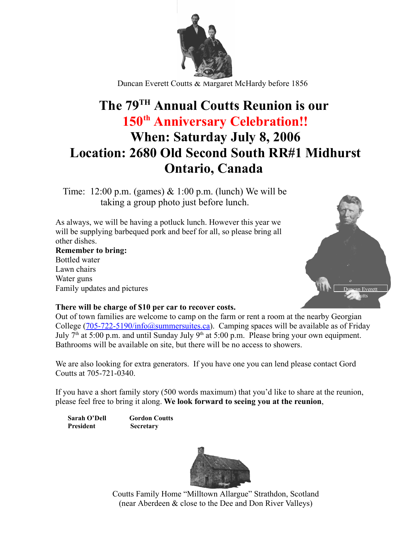

Duncan Everett Coutts & Margaret McHardy before 1856

## **The 79TH Annual Coutts Reunion is our 150th Anniversary Celebration!! When: Saturday July 8, 2006 Location: 2680 Old Second South RR#1 Midhurst Ontario, Canada**

Time: 12:00 p.m. (games)  $& 1:00$  p.m. (lunch) We will be taking a group photo just before lunch.

As always, we will be having a potluck lunch. However this year we will be supplying barbequed pork and beef for all, so please bring all other dishes.

**Remember to bring:** Bottled water Lawn chairs Water guns Family updates and pictures



## **There will be charge of \$10 per car to recover costs.**

Out of town families are welcome to camp on the farm or rent a room at the nearby Georgian College  $(705-722-5190/inf<sub>0</sub>)$  (asummersuites.ca). Camping spaces will be available as of Friday July  $7<sup>th</sup>$  at 5:00 p.m. and until Sunday July  $9<sup>th</sup>$  at 5:00 p.m. Please bring your own equipment. Bathrooms will be available on site, but there will be no access to showers.

We are also looking for extra generators. If you have one you can lend please contact Gord Coutts at 705-721-0340.

If you have a short family story (500 words maximum) that you'd like to share at the reunion, please feel free to bring it along. **We look forward to seeing you at the reunion**,

**Sarah O'Dell Gordon Coutts President Secretary**



Coutts Family Home "Milltown Allargue" Strathdon, Scotland (near Aberdeen & close to the Dee and Don River Valleys)